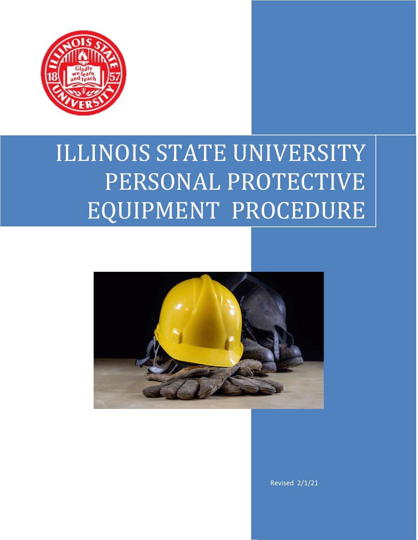

# ILLINOIS STATE UNIVERSITY PERSONAL PROTECTIVE EQUIPMENT PROCEDURE



Revised 2/1/21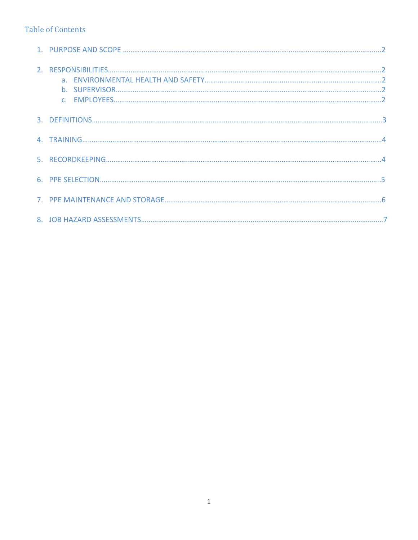## **Table of Contents**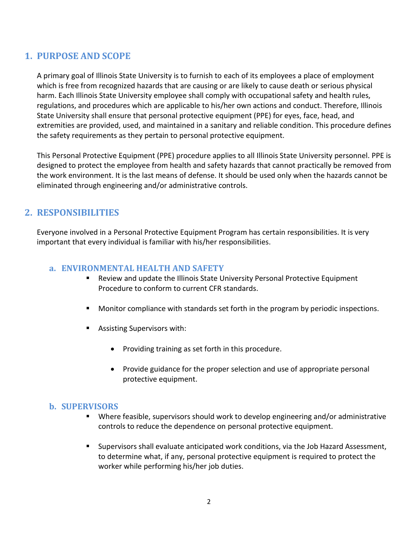## **1. PURPOSE AND SCOPE**

A primary goal of Illinois State University is to furnish to each of its employees a place of employment which is free from recognized hazards that are causing or are likely to cause death or serious physical harm. Each Illinois State University employee shall comply with occupational safety and health rules, regulations, and procedures which are applicable to his/her own actions and conduct. Therefore, Illinois State University shall ensure that personal protective equipment (PPE) for eyes, face, head, and extremities are provided, used, and maintained in a sanitary and reliable condition. This procedure defines the safety requirements as they pertain to personal protective equipment.

This Personal Protective Equipment (PPE) procedure applies to all Illinois State University personnel. PPE is designed to protect the employee from health and safety hazards that cannot practically be removed from the work environment. It is the last means of defense. It should be used only when the hazards cannot be eliminated through engineering and/or administrative controls.

## **2. RESPONSIBILITIES**

Everyone involved in a Personal Protective Equipment Program has certain responsibilities. It is very important that every individual is familiar with his/her responsibilities.

#### **a. ENVIRONMENTAL HEALTH AND SAFETY**

- Review and update the Illinois State University Personal Protective Equipment Procedure to conform to current CFR standards.
- Monitor compliance with standards set forth in the program by periodic inspections.
- Assisting Supervisors with:
	- Providing training as set forth in this procedure.
	- Provide guidance for the proper selection and use of appropriate personal protective equipment.

## **b. SUPERVISORS**

- Where feasible, supervisors should work to develop engineering and/or administrative controls to reduce the dependence on personal protective equipment.
- **E** Supervisors shall evaluate anticipated work conditions, via the Job Hazard Assessment, to determine what, if any, personal protective equipment is required to protect the worker while performing his/her job duties.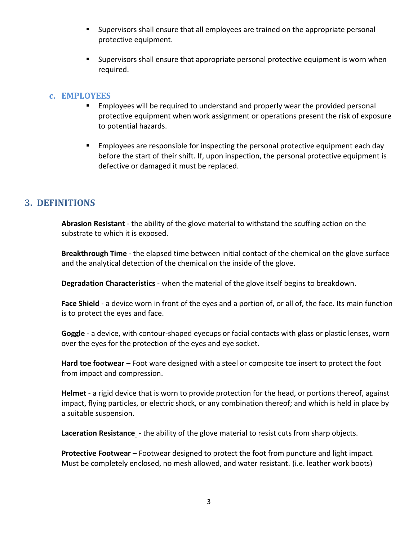- Supervisors shall ensure that all employees are trained on the appropriate personal protective equipment.
- Supervisors shall ensure that appropriate personal protective equipment is worn when required.

#### **c. EMPLOYEES**

- Employees will be required to understand and properly wear the provided personal protective equipment when work assignment or operations present the risk of exposure to potential hazards.
- **Employees are responsible for inspecting the personal protective equipment each day** before the start of their shift. If, upon inspection, the personal protective equipment is defective or damaged it must be replaced.

## **3. DEFINITIONS**

**Abrasion Resistant** - the ability of the glove material to withstand the scuffing action on the substrate to which it is exposed.

**Breakthrough Time** - the elapsed time between initial contact of the chemical on the glove surface and the analytical detection of the chemical on the inside of the glove.

**Degradation Characteristics** - when the material of the glove itself begins to breakdown.

**Face Shield** - a device worn in front of the eyes and a portion of, or all of, the face. Its main function is to protect the eyes and face.

**Goggle** - a device, with contour-shaped eyecups or facial contacts with glass or plastic lenses, worn over the eyes for the protection of the eyes and eye socket.

**Hard toe footwear** – Foot ware designed with a steel or composite toe insert to protect the foot from impact and compression.

**Helmet** - a rigid device that is worn to provide protection for the head, or portions thereof, against impact, flying particles, or electric shock, or any combination thereof; and which is held in place by a suitable suspension.

**Laceration Resistance** - the ability of the glove material to resist cuts from sharp objects.

**Protective Footwear** – Footwear designed to protect the foot from puncture and light impact. Must be completely enclosed, no mesh allowed, and water resistant. (i.e. leather work boots)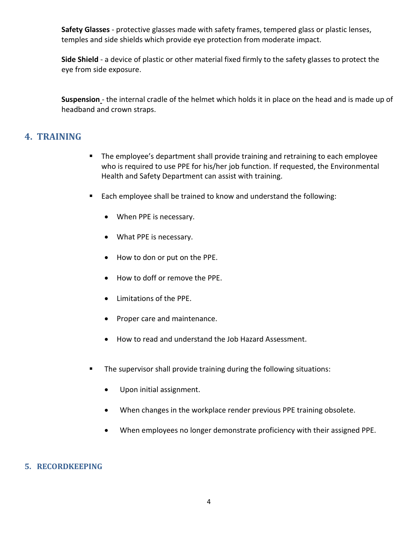**Safety Glasses** - protective glasses made with safety frames, tempered glass or plastic lenses, temples and side shields which provide eye protection from moderate impact.

**Side Shield** - a device of plastic or other material fixed firmly to the safety glasses to protect the eye from side exposure.

**Suspension** - the internal cradle of the helmet which holds it in place on the head and is made up of headband and crown straps.

## **4. TRAINING**

- The employee's department shall provide training and retraining to each employee who is required to use PPE for his/her job function. If requested, the Environmental Health and Safety Department can assist with training.
- Each employee shall be trained to know and understand the following:
	- When PPE is necessary.
	- What PPE is necessary.
	- How to don or put on the PPE.
	- How to doff or remove the PPE.
	- Limitations of the PPE.
	- Proper care and maintenance.
	- How to read and understand the Job Hazard Assessment.
- The supervisor shall provide training during the following situations:
	- Upon initial assignment.
	- When changes in the workplace render previous PPE training obsolete.
	- When employees no longer demonstrate proficiency with their assigned PPE.

#### **5. RECORDKEEPING**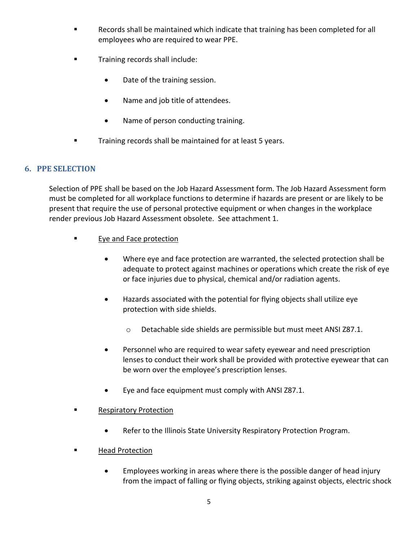- Records shall be maintained which indicate that training has been completed for all employees who are required to wear PPE.
- Training records shall include:
	- Date of the training session.
	- Name and job title of attendees.
	- Name of person conducting training.
- Training records shall be maintained for at least 5 years.

## **6. PPE SELECTION**

Selection of PPE shall be based on the Job Hazard Assessment form. The Job Hazard Assessment form must be completed for all workplace functions to determine if hazards are present or are likely to be present that require the use of personal protective equipment or when changes in the workplace render previous Job Hazard Assessment obsolete. See attachment 1.

- **Eye and Face protection** 
	- Where eye and face protection are warranted, the selected protection shall be adequate to protect against machines or operations which create the risk of eye or face injuries due to physical, chemical and/or radiation agents.
	- Hazards associated with the potential for flying objects shall utilize eye protection with side shields.
		- o Detachable side shields are permissible but must meet ANSI Z87.1.
	- Personnel who are required to wear safety eyewear and need prescription lenses to conduct their work shall be provided with protective eyewear that can be worn over the employee's prescription lenses.
	- Eye and face equipment must comply with ANSI Z87.1.
- **EXECUTE:** Respiratory Protection
	- Refer to the Illinois State University Respiratory Protection Program.
- **Head Protection** 
	- Employees working in areas where there is the possible danger of head injury from the impact of falling or flying objects, striking against objects, electric shock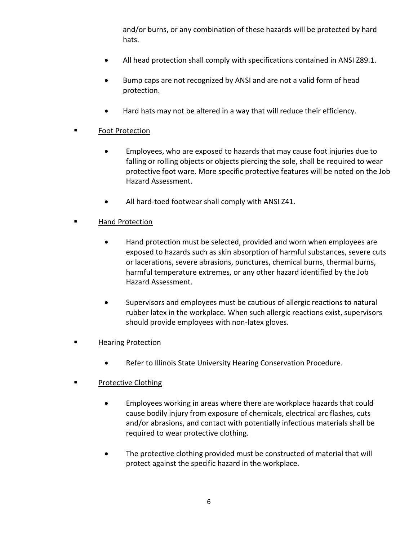and/or burns, or any combination of these hazards will be protected by hard hats.

- All head protection shall comply with specifications contained in ANSI Z89.1.
- Bump caps are not recognized by ANSI and are not a valid form of head protection.
- Hard hats may not be altered in a way that will reduce their efficiency.
- Foot Protection
	- Employees, who are exposed to hazards that may cause foot injuries due to falling or rolling objects or objects piercing the sole, shall be required to wear protective foot ware. More specific protective features will be noted on the Job Hazard Assessment.
	- All hard-toed footwear shall comply with ANSI Z41.
- Hand Protection
	- Hand protection must be selected, provided and worn when employees are exposed to hazards such as skin absorption of harmful substances, severe cuts or lacerations, severe abrasions, punctures, chemical burns, thermal burns, harmful temperature extremes, or any other hazard identified by the Job Hazard Assessment.
	- Supervisors and employees must be cautious of allergic reactions to natural rubber latex in the workplace. When such allergic reactions exist, supervisors should provide employees with non-latex gloves.
- **Hearing Protection** 
	- Refer to Illinois State University Hearing Conservation Procedure.
- Protective Clothing
	- Employees working in areas where there are workplace hazards that could cause bodily injury from exposure of chemicals, electrical arc flashes, cuts and/or abrasions, and contact with potentially infectious materials shall be required to wear protective clothing.
	- The protective clothing provided must be constructed of material that will protect against the specific hazard in the workplace.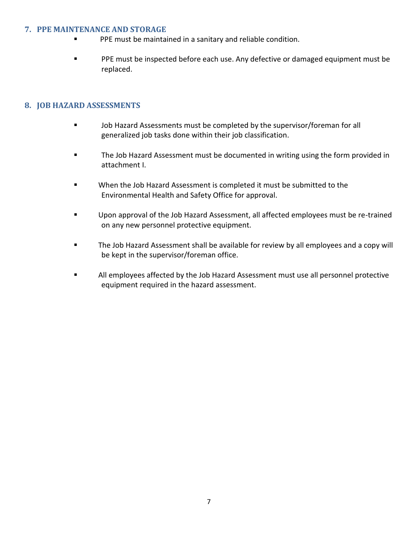#### **7. PPE MAINTENANCE AND STORAGE**

- PPE must be maintained in a sanitary and reliable condition.
- PPE must be inspected before each use. Any defective or damaged equipment must be replaced.

## **8. JOB HAZARD ASSESSMENTS**

- Job Hazard Assessments must be completed by the supervisor/foreman for all generalized job tasks done within their job classification.
- The Job Hazard Assessment must be documented in writing using the form provided in attachment I.
- When the Job Hazard Assessment is completed it must be submitted to the Environmental Health and Safety Office for approval.
- Upon approval of the Job Hazard Assessment, all affected employees must be re-trained on any new personnel protective equipment.
- The Job Hazard Assessment shall be available for review by all employees and a copy will be kept in the supervisor/foreman office.
- All employees affected by the Job Hazard Assessment must use all personnel protective equipment required in the hazard assessment.